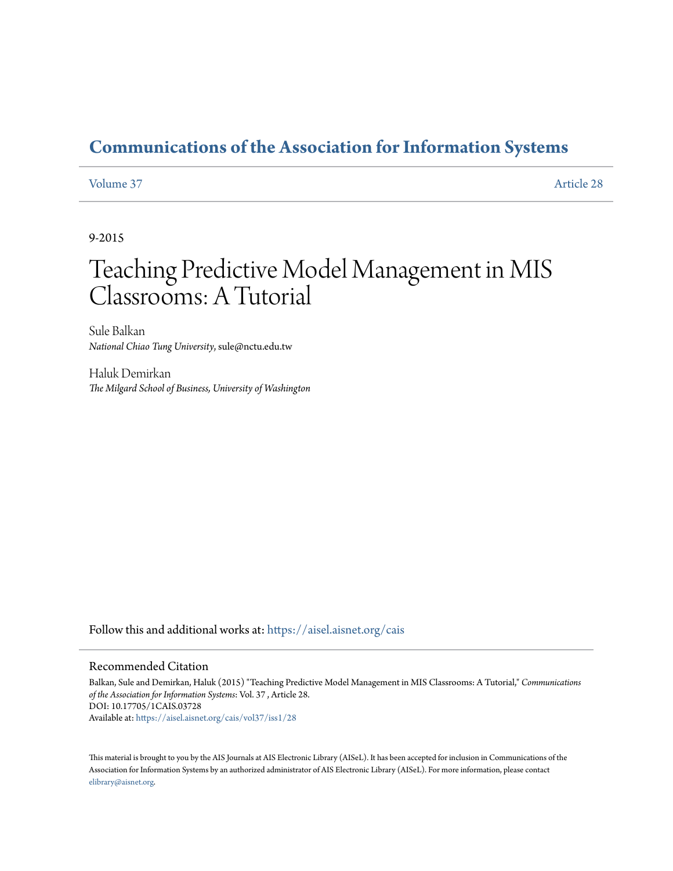# **[Communications of the Association for Information Systems](https://aisel.aisnet.org/cais?utm_source=aisel.aisnet.org%2Fcais%2Fvol37%2Fiss1%2F28&utm_medium=PDF&utm_campaign=PDFCoverPages)**

#### [Volume 37](https://aisel.aisnet.org/cais/vol37?utm_source=aisel.aisnet.org%2Fcais%2Fvol37%2Fiss1%2F28&utm_medium=PDF&utm_campaign=PDFCoverPages) [Article 28](https://aisel.aisnet.org/cais/vol37/iss1/28?utm_source=aisel.aisnet.org%2Fcais%2Fvol37%2Fiss1%2F28&utm_medium=PDF&utm_campaign=PDFCoverPages)

9-2015

# Teaching Predictive Model Management in MIS Classrooms: A Tutorial

Sule Balkan *National Chiao Tung University*, sule@nctu.edu.tw

Haluk Demirkan *The Milgard School of Business, University of Washington*

Follow this and additional works at: [https://aisel.aisnet.org/cais](https://aisel.aisnet.org/cais?utm_source=aisel.aisnet.org%2Fcais%2Fvol37%2Fiss1%2F28&utm_medium=PDF&utm_campaign=PDFCoverPages)

#### Recommended Citation

Balkan, Sule and Demirkan, Haluk (2015) "Teaching Predictive Model Management in MIS Classrooms: A Tutorial," *Communications of the Association for Information Systems*: Vol. 37 , Article 28. DOI: 10.17705/1CAIS.03728 Available at: [https://aisel.aisnet.org/cais/vol37/iss1/28](https://aisel.aisnet.org/cais/vol37/iss1/28?utm_source=aisel.aisnet.org%2Fcais%2Fvol37%2Fiss1%2F28&utm_medium=PDF&utm_campaign=PDFCoverPages)

This material is brought to you by the AIS Journals at AIS Electronic Library (AISeL). It has been accepted for inclusion in Communications of the Association for Information Systems by an authorized administrator of AIS Electronic Library (AISeL). For more information, please contact [elibrary@aisnet.org.](mailto:elibrary@aisnet.org%3E)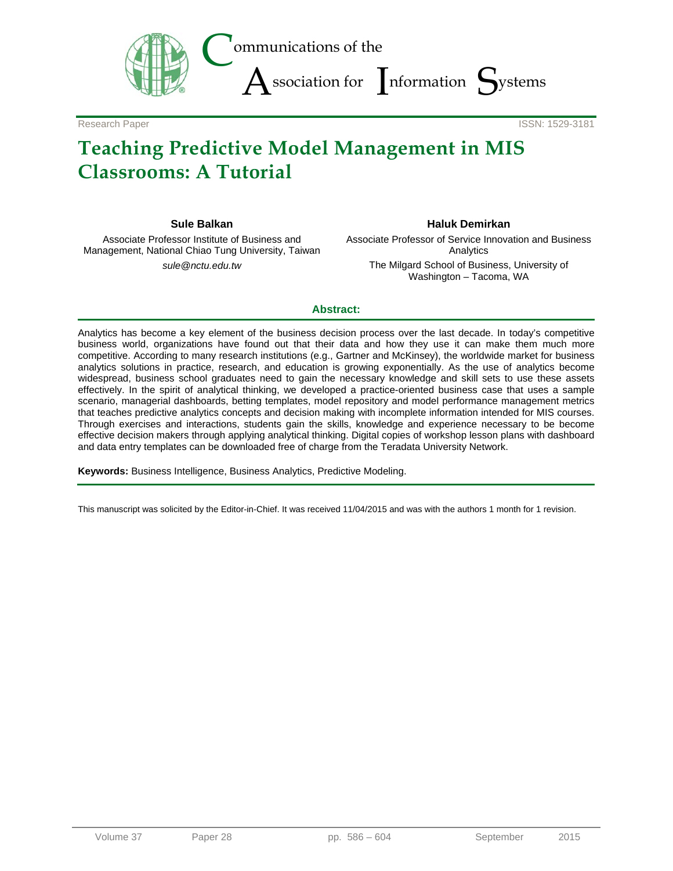

Research Paper **ISSN: 1529-3181** 

# **Teaching Predictive Model Management in MIS Classrooms: A Tutorial**

**Sule Balkan** 

Associate Professor Institute of Business and Management, National Chiao Tung University, Taiwan

*sule@nctu.edu.tw* 

 **Haluk Demirkan** 

Associate Professor of Service Innovation and Business **Analytics** The Milgard School of Business, University of Washington – Tacoma, WA

#### **Abstract:**

Analytics has become a key element of the business decision process over the last decade. In today's competitive business world, organizations have found out that their data and how they use it can make them much more competitive. According to many research institutions (e.g., Gartner and McKinsey), the worldwide market for business analytics solutions in practice, research, and education is growing exponentially. As the use of analytics become widespread, business school graduates need to gain the necessary knowledge and skill sets to use these assets effectively. In the spirit of analytical thinking, we developed a practice-oriented business case that uses a sample scenario, managerial dashboards, betting templates, model repository and model performance management metrics that teaches predictive analytics concepts and decision making with incomplete information intended for MIS courses. Through exercises and interactions, students gain the skills, knowledge and experience necessary to be become effective decision makers through applying analytical thinking. Digital copies of workshop lesson plans with dashboard and data entry templates can be downloaded free of charge from the Teradata University Network.

**Keywords:** Business Intelligence, Business Analytics, Predictive Modeling.

This manuscript was solicited by the Editor-in-Chief. It was received 11/04/2015 and was with the authors 1 month for 1 revision.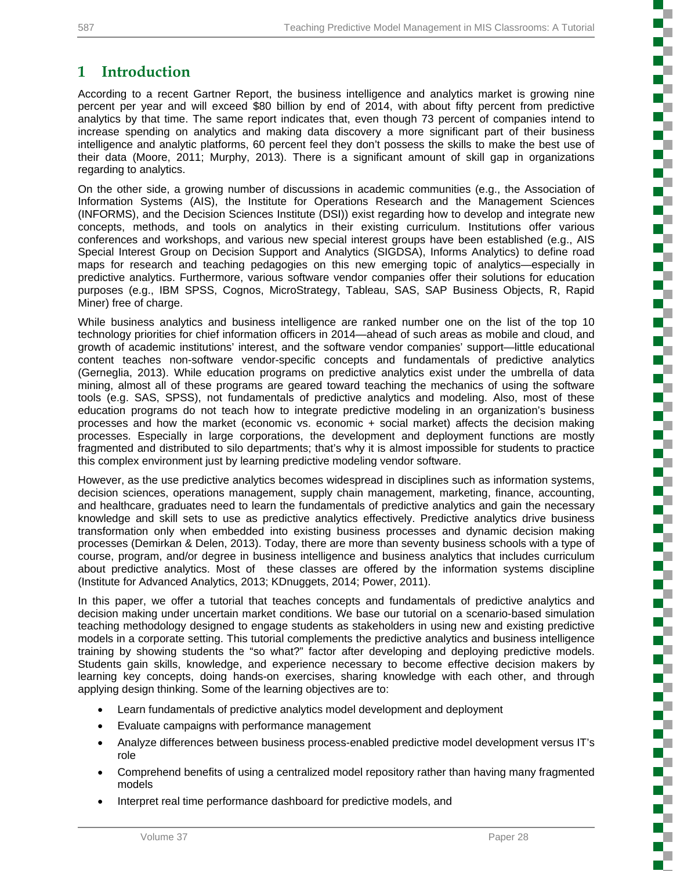П.

ā

▛

E.

T

s

E

c

j

**Ti** 2

į

## **1 Introduction**

According to a recent Gartner Report, the business intelligence and analytics market is growing nine percent per year and will exceed \$80 billion by end of 2014, with about fifty percent from predictive analytics by that time. The same report indicates that, even though 73 percent of companies intend to increase spending on analytics and making data discovery a more significant part of their business intelligence and analytic platforms, 60 percent feel they don't possess the skills to make the best use of their data (Moore, 2011; Murphy, 2013). There is a significant amount of skill gap in organizations regarding to analytics.

On the other side, a growing number of discussions in academic communities (e.g., the Association of Information Systems (AIS), the Institute for Operations Research and the Management Sciences (INFORMS), and the Decision Sciences Institute (DSI)) exist regarding how to develop and integrate new concepts, methods, and tools on analytics in their existing curriculum. Institutions offer various conferences and workshops, and various new special interest groups have been established (e.g., AIS Special Interest Group on Decision Support and Analytics (SIGDSA), Informs Analytics) to define road maps for research and teaching pedagogies on this new emerging topic of analytics—especially in predictive analytics. Furthermore, various software vendor companies offer their solutions for education purposes (e.g., IBM SPSS, Cognos, MicroStrategy, Tableau, SAS, SAP Business Objects, R, Rapid Miner) free of charge.

While business analytics and business intelligence are ranked number one on the list of the top 10 technology priorities for chief information officers in 2014—ahead of such areas as mobile and cloud, and growth of academic institutions' interest, and the software vendor companies' support—little educational content teaches non-software vendor-specific concepts and fundamentals of predictive analytics (Gerneglia, 2013). While education programs on predictive analytics exist under the umbrella of data mining, almost all of these programs are geared toward teaching the mechanics of using the software tools (e.g. SAS, SPSS), not fundamentals of predictive analytics and modeling. Also, most of these education programs do not teach how to integrate predictive modeling in an organization's business processes and how the market (economic vs. economic + social market) affects the decision making processes. Especially in large corporations, the development and deployment functions are mostly fragmented and distributed to silo departments; that's why it is almost impossible for students to practice this complex environment just by learning predictive modeling vendor software.

However, as the use predictive analytics becomes widespread in disciplines such as information systems, decision sciences, operations management, supply chain management, marketing, finance, accounting, and healthcare, graduates need to learn the fundamentals of predictive analytics and gain the necessary knowledge and skill sets to use as predictive analytics effectively. Predictive analytics drive business transformation only when embedded into existing business processes and dynamic decision making processes (Demirkan & Delen, 2013). Today, there are more than seventy business schools with a type of course, program, and/or degree in business intelligence and business analytics that includes curriculum about predictive analytics. Most of these classes are offered by the information systems discipline (Institute for Advanced Analytics, 2013; KDnuggets, 2014; Power, 2011).

In this paper, we offer a tutorial that teaches concepts and fundamentals of predictive analytics and decision making under uncertain market conditions. We base our tutorial on a scenario-based simulation teaching methodology designed to engage students as stakeholders in using new and existing predictive models in a corporate setting. This tutorial complements the predictive analytics and business intelligence training by showing students the "so what?" factor after developing and deploying predictive models. Students gain skills, knowledge, and experience necessary to become effective decision makers by learning key concepts, doing hands-on exercises, sharing knowledge with each other, and through applying design thinking. Some of the learning objectives are to:

- Learn fundamentals of predictive analytics model development and deployment
- Evaluate campaigns with performance management
- Analyze differences between business process-enabled predictive model development versus IT's role
- Comprehend benefits of using a centralized model repository rather than having many fragmented models
- Interpret real time performance dashboard for predictive models, and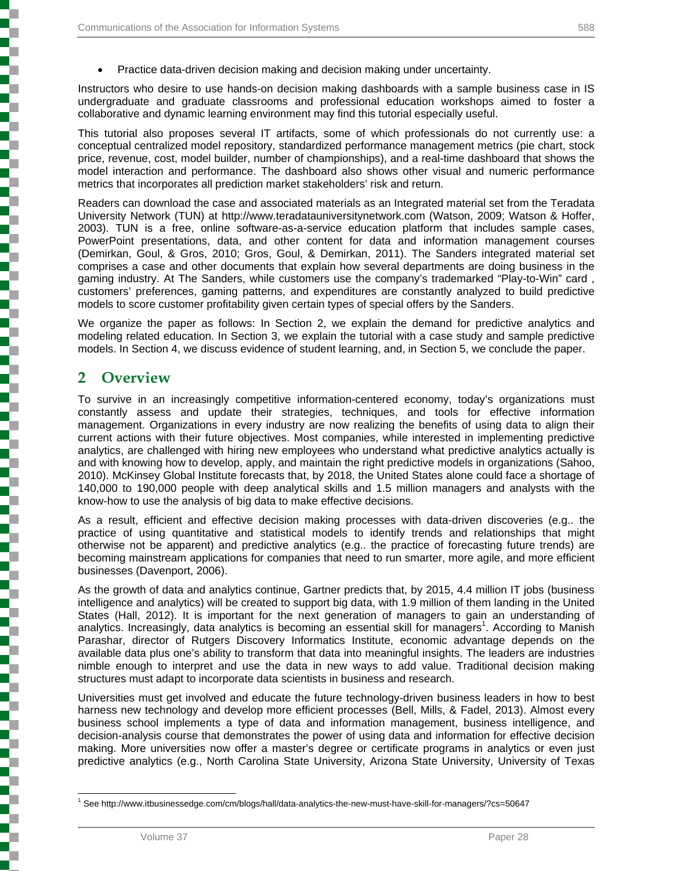Practice data-driven decision making and decision making under uncertainty.

Instructors who desire to use hands-on decision making dashboards with a sample business case in IS undergraduate and graduate classrooms and professional education workshops aimed to foster a collaborative and dynamic learning environment may find this tutorial especially useful.

This tutorial also proposes several IT artifacts, some of which professionals do not currently use: a conceptual centralized model repository, standardized performance management metrics (pie chart, stock price, revenue, cost, model builder, number of championships), and a real-time dashboard that shows the model interaction and performance. The dashboard also shows other visual and numeric performance metrics that incorporates all prediction market stakeholders' risk and return.

Readers can download the case and associated materials as an Integrated material set from the Teradata University Network (TUN) at http://www.teradatauniversitynetwork.com (Watson, 2009; Watson & Hoffer, 2003). TUN is a free, online software-as-a-service education platform that includes sample cases, PowerPoint presentations, data, and other content for data and information management courses (Demirkan, Goul, & Gros, 2010; Gros, Goul, & Demirkan, 2011). The Sanders integrated material set comprises a case and other documents that explain how several departments are doing business in the gaming industry. At The Sanders, while customers use the company's trademarked "Play-to-Win" card , customers' preferences, gaming patterns, and expenditures are constantly analyzed to build predictive models to score customer profitability given certain types of special offers by the Sanders.

We organize the paper as follows: In Section 2, we explain the demand for predictive analytics and modeling related education. In Section 3, we explain the tutorial with a case study and sample predictive models. In Section 4, we discuss evidence of student learning, and, in Section 5, we conclude the paper.

### **2 Overview**

┋

į

To survive in an increasingly competitive information-centered economy, today's organizations must constantly assess and update their strategies, techniques, and tools for effective information management. Organizations in every industry are now realizing the benefits of using data to align their current actions with their future objectives. Most companies, while interested in implementing predictive analytics, are challenged with hiring new employees who understand what predictive analytics actually is and with knowing how to develop, apply, and maintain the right predictive models in organizations (Sahoo, 2010). McKinsey Global Institute forecasts that, by 2018, the United States alone could face a shortage of 140,000 to 190,000 people with deep analytical skills and 1.5 million managers and analysts with the know-how to use the analysis of big data to make effective decisions.

As a result, efficient and effective decision making processes with data-driven discoveries (e.g.. the practice of using quantitative and statistical models to identify trends and relationships that might otherwise not be apparent) and predictive analytics (e.g.. the practice of forecasting future trends) are becoming mainstream applications for companies that need to run smarter, more agile, and more efficient businesses (Davenport, 2006).

As the growth of data and analytics continue, Gartner predicts that, by 2015, 4.4 million IT jobs (business intelligence and analytics) will be created to support big data, with 1.9 million of them landing in the United States (Hall, 2012). It is important for the next generation of managers to gain an understanding of analytics. Increasingly, data analytics is becoming an essential skill for managers<sup>1</sup>. According to Manish Parashar, director of Rutgers Discovery Informatics Institute, economic advantage depends on the available data plus one's ability to transform that data into meaningful insights. The leaders are industries nimble enough to interpret and use the data in new ways to add value. Traditional decision making structures must adapt to incorporate data scientists in business and research.

Universities must get involved and educate the future technology-driven business leaders in how to best harness new technology and develop more efficient processes (Bell, Mills, & Fadel, 2013). Almost every business school implements a type of data and information management, business intelligence, and decision-analysis course that demonstrates the power of using data and information for effective decision making. More universities now offer a master's degree or certificate programs in analytics or even just predictive analytics (e.g., North Carolina State University, Arizona State University, University of Texas

l

<sup>1</sup> See http://www.itbusinessedge.com/cm/blogs/hall/data-analytics-the-new-must-have-skill-for-managers/?cs=50647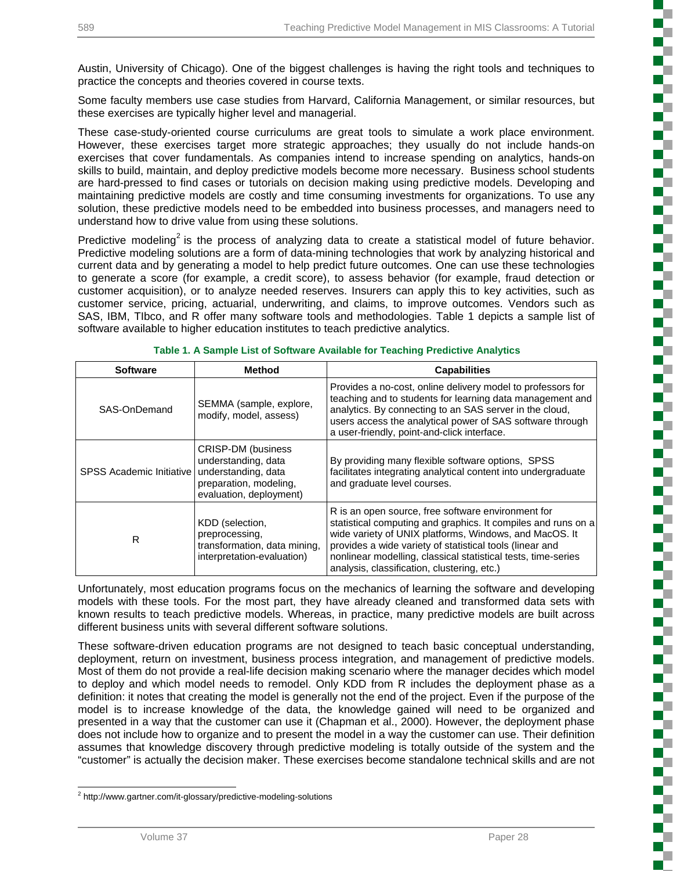ĺ

i

▛

į

Austin, University of Chicago). One of the biggest challenges is having the right tools and techniques to practice the concepts and theories covered in course texts.

Some faculty members use case studies from Harvard, California Management, or similar resources, but these exercises are typically higher level and managerial.

These case-study-oriented course curriculums are great tools to simulate a work place environment. However, these exercises target more strategic approaches; they usually do not include hands-on exercises that cover fundamentals. As companies intend to increase spending on analytics, hands-on skills to build, maintain, and deploy predictive models become more necessary. Business school students are hard-pressed to find cases or tutorials on decision making using predictive models. Developing and maintaining predictive models are costly and time consuming investments for organizations. To use any solution, these predictive models need to be embedded into business processes, and managers need to understand how to drive value from using these solutions.

Predictive modeling<sup>2</sup> is the process of analyzing data to create a statistical model of future behavior. Predictive modeling solutions are a form of data-mining technologies that work by analyzing historical and current data and by generating a model to help predict future outcomes. One can use these technologies to generate a score (for example, a credit score), to assess behavior (for example, fraud detection or customer acquisition), or to analyze needed reserves. Insurers can apply this to key activities, such as customer service, pricing, actuarial, underwriting, and claims, to improve outcomes. Vendors such as SAS, IBM, TIbco, and R offer many software tools and methodologies. Table 1 depicts a sample list of software available to higher education institutes to teach predictive analytics.

| <b>Software</b>                 | <b>Method</b>                                                                                                                | <b>Capabilities</b>                                                                                                                                                                                                                                                                                                                                       |
|---------------------------------|------------------------------------------------------------------------------------------------------------------------------|-----------------------------------------------------------------------------------------------------------------------------------------------------------------------------------------------------------------------------------------------------------------------------------------------------------------------------------------------------------|
| SAS-OnDemand                    | SEMMA (sample, explore,<br>modify, model, assess)                                                                            | Provides a no-cost, online delivery model to professors for<br>teaching and to students for learning data management and<br>analytics. By connecting to an SAS server in the cloud,<br>users access the analytical power of SAS software through<br>a user-friendly, point-and-click interface.                                                           |
| <b>SPSS Academic Initiative</b> | <b>CRISP-DM</b> (business<br>understanding, data<br>understanding, data<br>preparation, modeling,<br>evaluation, deployment) | By providing many flexible software options, SPSS<br>facilitates integrating analytical content into undergraduate<br>and graduate level courses.                                                                                                                                                                                                         |
| R                               | KDD (selection,<br>preprocessing,<br>transformation, data mining,<br>interpretation-evaluation)                              | R is an open source, free software environment for<br>statistical computing and graphics. It compiles and runs on a<br>wide variety of UNIX platforms, Windows, and MacOS. It<br>provides a wide variety of statistical tools (linear and<br>nonlinear modelling, classical statistical tests, time-series<br>analysis, classification, clustering, etc.) |

|  |  |  | Table 1. A Sample List of Software Available for Teaching Predictive Analytics |  |
|--|--|--|--------------------------------------------------------------------------------|--|
|  |  |  |                                                                                |  |

Unfortunately, most education programs focus on the mechanics of learning the software and developing models with these tools. For the most part, they have already cleaned and transformed data sets with known results to teach predictive models. Whereas, in practice, many predictive models are built across different business units with several different software solutions.

These software-driven education programs are not designed to teach basic conceptual understanding, deployment, return on investment, business process integration, and management of predictive models. Most of them do not provide a real-life decision making scenario where the manager decides which model to deploy and which model needs to remodel. Only KDD from R includes the deployment phase as a definition: it notes that creating the model is generally not the end of the project. Even if the purpose of the model is to increase knowledge of the data, the knowledge gained will need to be organized and presented in a way that the customer can use it (Chapman et al., 2000). However, the deployment phase does not include how to organize and to present the model in a way the customer can use. Their definition assumes that knowledge discovery through predictive modeling is totally outside of the system and the "customer" is actually the decision maker. These exercises become standalone technical skills and are not

l <sup>2</sup> http://www.gartner.com/it-glossary/predictive-modeling-solutions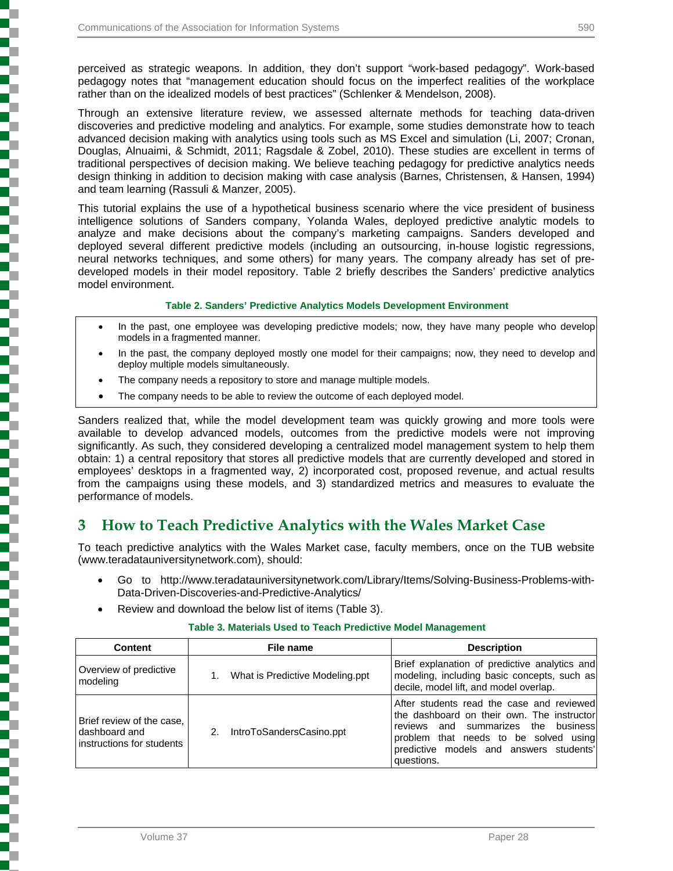perceived as strategic weapons. In addition, they don't support "work-based pedagogy". Work-based pedagogy notes that "management education should focus on the imperfect realities of the workplace rather than on the idealized models of best practices" (Schlenker & Mendelson, 2008).

Through an extensive literature review, we assessed alternate methods for teaching data-driven discoveries and predictive modeling and analytics. For example, some studies demonstrate how to teach advanced decision making with analytics using tools such as MS Excel and simulation (Li, 2007; Cronan, Douglas, Alnuaimi, & Schmidt, 2011; Ragsdale & Zobel, 2010). These studies are excellent in terms of traditional perspectives of decision making. We believe teaching pedagogy for predictive analytics needs design thinking in addition to decision making with case analysis (Barnes, Christensen, & Hansen, 1994) and team learning (Rassuli & Manzer, 2005).

This tutorial explains the use of a hypothetical business scenario where the vice president of business intelligence solutions of Sanders company, Yolanda Wales, deployed predictive analytic models to analyze and make decisions about the company's marketing campaigns. Sanders developed and deployed several different predictive models (including an outsourcing, in-house logistic regressions, neural networks techniques, and some others) for many years. The company already has set of predeveloped models in their model repository. Table 2 briefly describes the Sanders' predictive analytics model environment.

#### **Table 2. Sanders' Predictive Analytics Models Development Environment**

- In the past, one employee was developing predictive models; now, they have many people who develop models in a fragmented manner.
- In the past, the company deployed mostly one model for their campaigns; now, they need to develop and deploy multiple models simultaneously.
- The company needs a repository to store and manage multiple models.
- The company needs to be able to review the outcome of each deployed model.

Sanders realized that, while the model development team was quickly growing and more tools were available to develop advanced models, outcomes from the predictive models were not improving significantly. As such, they considered developing a centralized model management system to help them obtain: 1) a central repository that stores all predictive models that are currently developed and stored in employees' desktops in a fragmented way, 2) incorporated cost, proposed revenue, and actual results from the campaigns using these models, and 3) standardized metrics and measures to evaluate the performance of models.

## **3 How to Teach Predictive Analytics with the Wales Market Case**

To teach predictive analytics with the Wales Market case, faculty members, once on the TUB website (www.teradatauniversitynetwork.com), should:

- Go to http://www.teradatauniversitynetwork.com/Library/Items/Solving-Business-Problems-with-Data-Driven-Discoveries-and-Predictive-Analytics/
- Review and download the below list of items (Table 3).

#### **Table 3. Materials Used to Teach Predictive Model Management**

| <b>Content</b>                                                          | File name                       | <b>Description</b>                                                                                                                                                                                                               |  |  |
|-------------------------------------------------------------------------|---------------------------------|----------------------------------------------------------------------------------------------------------------------------------------------------------------------------------------------------------------------------------|--|--|
| Overview of predictive<br>modeling                                      | What is Predictive Modeling.ppt | Brief explanation of predictive analytics and<br>modeling, including basic concepts, such as<br>decile, model lift, and model overlap.                                                                                           |  |  |
| Brief review of the case,<br>dashboard and<br>instructions for students | IntroToSandersCasino.ppt        | After students read the case and reviewed<br>the dashboard on their own. The instructor<br>reviews and summarizes the business<br>problem that needs to be solved using<br>predictive models and answers students'<br>questions. |  |  |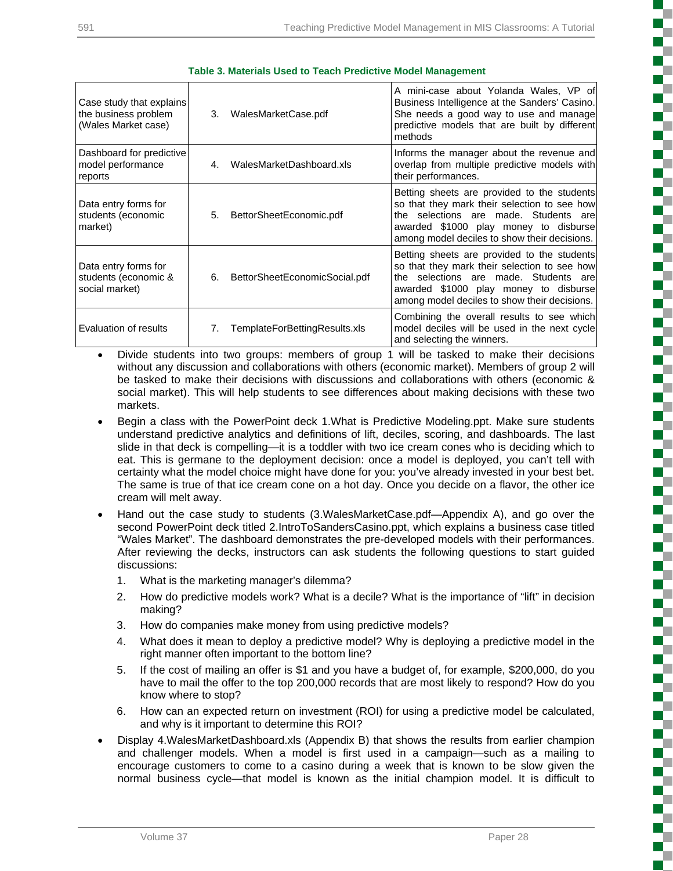| Case study that explains<br>the business problem<br>(Wales Market case) | 3. | WalesMarketCase.pdf           | A mini-case about Yolanda Wales, VP of<br>Business Intelligence at the Sanders' Casino.<br>She needs a good way to use and manage<br>predictive models that are built by different<br>methods                                 |
|-------------------------------------------------------------------------|----|-------------------------------|-------------------------------------------------------------------------------------------------------------------------------------------------------------------------------------------------------------------------------|
| Dashboard for predictive<br>model performance<br>reports                | 4. | WalesMarketDashboard.xls      | Informs the manager about the revenue and<br>overlap from multiple predictive models with<br>their performances.                                                                                                              |
| Data entry forms for<br>students (economic<br>market)                   | 5. | BettorSheetEconomic.pdf       | Betting sheets are provided to the students<br>so that they mark their selection to see how<br>the selections are made. Students are<br>awarded \$1000 play money to disburse<br>among model deciles to show their decisions. |
| Data entry forms for<br>students (economic &<br>social market)          | 6. | BettorSheetEconomicSocial.pdf | Betting sheets are provided to the students<br>so that they mark their selection to see how<br>the selections are made. Students are<br>awarded \$1000 play money to disburse<br>among model deciles to show their decisions. |
| Evaluation of results                                                   | 7. | TemplateForBettingResults.xls | Combining the overall results to see which<br>model deciles will be used in the next cycle<br>and selecting the winners.                                                                                                      |

|  |  |  | Table 3. Materials Used to Teach Predictive Model Management |
|--|--|--|--------------------------------------------------------------|
|  |  |  |                                                              |

- Divide students into two groups: members of group 1 will be tasked to make their decisions without any discussion and collaborations with others (economic market). Members of group 2 will be tasked to make their decisions with discussions and collaborations with others (economic & social market). This will help students to see differences about making decisions with these two markets.
- Begin a class with the PowerPoint deck 1.What is Predictive Modeling.ppt. Make sure students understand predictive analytics and definitions of lift, deciles, scoring, and dashboards. The last slide in that deck is compelling—it is a toddler with two ice cream cones who is deciding which to eat. This is germane to the deployment decision: once a model is deployed, you can't tell with certainty what the model choice might have done for you: you've already invested in your best bet. The same is true of that ice cream cone on a hot day. Once you decide on a flavor, the other ice cream will melt away.
- Hand out the case study to students (3.WalesMarketCase.pdf—Appendix A), and go over the second PowerPoint deck titled 2.IntroToSandersCasino.ppt, which explains a business case titled "Wales Market". The dashboard demonstrates the pre-developed models with their performances. After reviewing the decks, instructors can ask students the following questions to start guided discussions:
	- 1. What is the marketing manager's dilemma?
	- 2. How do predictive models work? What is a decile? What is the importance of "lift" in decision making?
	- 3. How do companies make money from using predictive models?
	- 4. What does it mean to deploy a predictive model? Why is deploying a predictive model in the right manner often important to the bottom line?
	- 5. If the cost of mailing an offer is \$1 and you have a budget of, for example, \$200,000, do you have to mail the offer to the top 200,000 records that are most likely to respond? How do you know where to stop?
	- 6. How can an expected return on investment (ROI) for using a predictive model be calculated, and why is it important to determine this ROI?
- Display 4.WalesMarketDashboard.xls (Appendix B) that shows the results from earlier champion and challenger models. When a model is first used in a campaign—such as a mailing to encourage customers to come to a casino during a week that is known to be slow given the normal business cycle—that model is known as the initial champion model. It is difficult to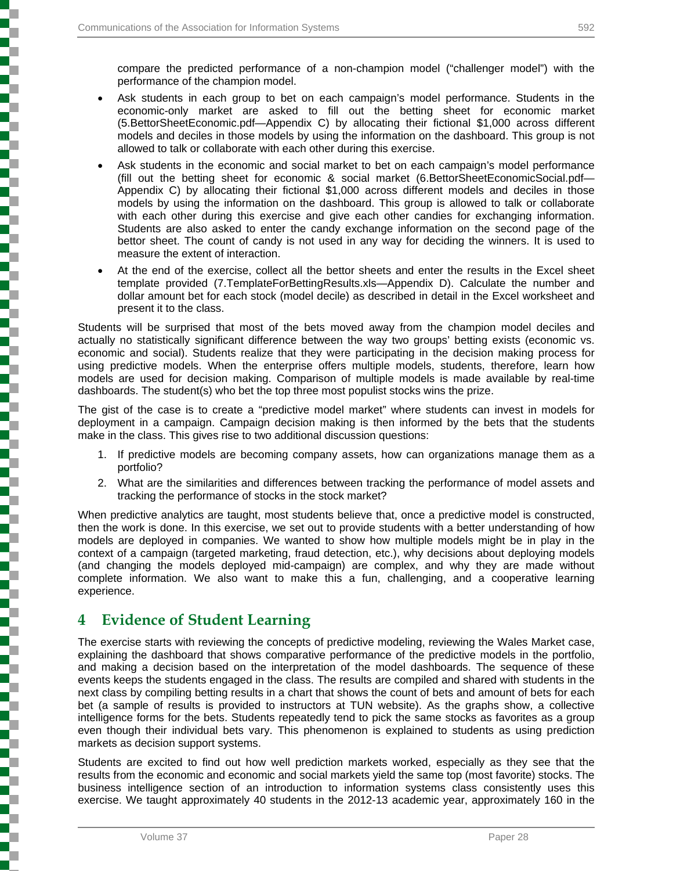compare the predicted performance of a non-champion model ("challenger model") with the performance of the champion model.

- Ask students in each group to bet on each campaign's model performance. Students in the economic-only market are asked to fill out the betting sheet for economic market (5.BettorSheetEconomic.pdf—Appendix C) by allocating their fictional \$1,000 across different models and deciles in those models by using the information on the dashboard. This group is not allowed to talk or collaborate with each other during this exercise.
- Ask students in the economic and social market to bet on each campaign's model performance (fill out the betting sheet for economic & social market (6.BettorSheetEconomicSocial.pdf— Appendix C) by allocating their fictional \$1,000 across different models and deciles in those models by using the information on the dashboard. This group is allowed to talk or collaborate with each other during this exercise and give each other candies for exchanging information. Students are also asked to enter the candy exchange information on the second page of the bettor sheet. The count of candy is not used in any way for deciding the winners. It is used to measure the extent of interaction.
- At the end of the exercise, collect all the bettor sheets and enter the results in the Excel sheet template provided (7.TemplateForBettingResults.xls—Appendix D). Calculate the number and dollar amount bet for each stock (model decile) as described in detail in the Excel worksheet and present it to the class.

Students will be surprised that most of the bets moved away from the champion model deciles and actually no statistically significant difference between the way two groups' betting exists (economic vs. economic and social). Students realize that they were participating in the decision making process for using predictive models. When the enterprise offers multiple models, students, therefore, learn how models are used for decision making. Comparison of multiple models is made available by real-time dashboards. The student(s) who bet the top three most populist stocks wins the prize.

The gist of the case is to create a "predictive model market" where students can invest in models for deployment in a campaign. Campaign decision making is then informed by the bets that the students make in the class. This gives rise to two additional discussion questions:

- 1. If predictive models are becoming company assets, how can organizations manage them as a portfolio?
- 2. What are the similarities and differences between tracking the performance of model assets and tracking the performance of stocks in the stock market?

When predictive analytics are taught, most students believe that, once a predictive model is constructed, then the work is done. In this exercise, we set out to provide students with a better understanding of how models are deployed in companies. We wanted to show how multiple models might be in play in the context of a campaign (targeted marketing, fraud detection, etc.), why decisions about deploying models (and changing the models deployed mid-campaign) are complex, and why they are made without complete information. We also want to make this a fun, challenging, and a cooperative learning experience.

## **4 Evidence of Student Learning**

The exercise starts with reviewing the concepts of predictive modeling, reviewing the Wales Market case, explaining the dashboard that shows comparative performance of the predictive models in the portfolio, and making a decision based on the interpretation of the model dashboards. The sequence of these events keeps the students engaged in the class. The results are compiled and shared with students in the next class by compiling betting results in a chart that shows the count of bets and amount of bets for each bet (a sample of results is provided to instructors at TUN website). As the graphs show, a collective intelligence forms for the bets. Students repeatedly tend to pick the same stocks as favorites as a group even though their individual bets vary. This phenomenon is explained to students as using prediction markets as decision support systems.

Students are excited to find out how well prediction markets worked, especially as they see that the results from the economic and economic and social markets yield the same top (most favorite) stocks. The business intelligence section of an introduction to information systems class consistently uses this exercise. We taught approximately 40 students in the 2012-13 academic year, approximately 160 in the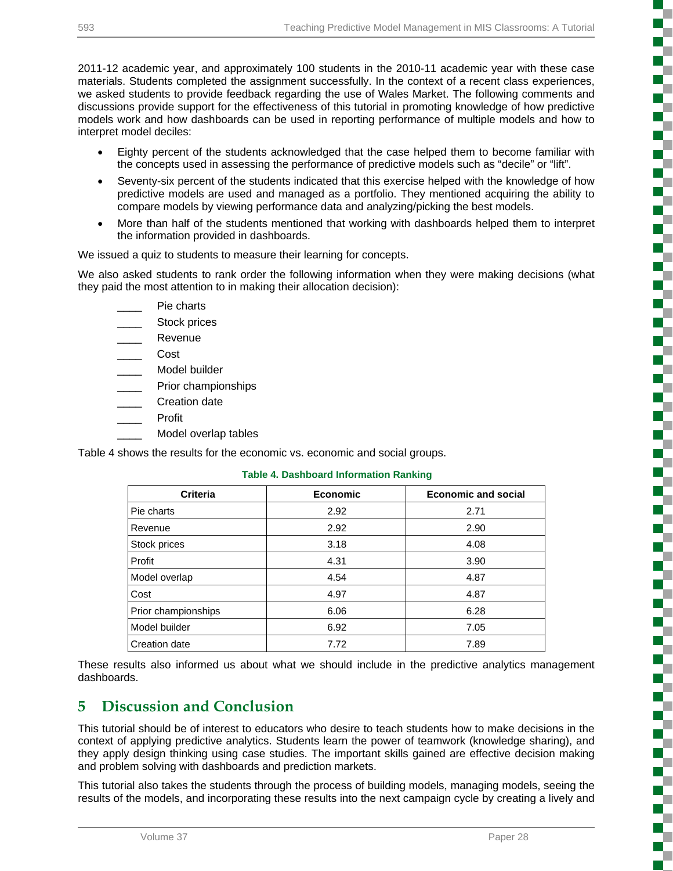$\mathbb{Z}^{\mathbb{Z}}$ 

L ç

C,

ĺ

F

į

ç

ď.

Ş

Г t.

2011-12 academic year, and approximately 100 students in the 2010-11 academic year with these case materials. Students completed the assignment successfully. In the context of a recent class experiences, we asked students to provide feedback regarding the use of Wales Market. The following comments and discussions provide support for the effectiveness of this tutorial in promoting knowledge of how predictive models work and how dashboards can be used in reporting performance of multiple models and how to interpret model deciles:

- Eighty percent of the students acknowledged that the case helped them to become familiar with the concepts used in assessing the performance of predictive models such as "decile" or "lift".
- Seventy-six percent of the students indicated that this exercise helped with the knowledge of how predictive models are used and managed as a portfolio. They mentioned acquiring the ability to compare models by viewing performance data and analyzing/picking the best models.
- More than half of the students mentioned that working with dashboards helped them to interpret the information provided in dashboards.

We issued a quiz to students to measure their learning for concepts.

We also asked students to rank order the following information when they were making decisions (what they paid the most attention to in making their allocation decision):

- Pie charts
	- Stock prices
- \_\_\_\_ Revenue
- \_\_\_\_ Cost
- Model builder
- Prior championships
- Creation date
- \_\_\_\_ Profit
- Model overlap tables

Table 4 shows the results for the economic vs. economic and social groups.

#### **Table 4. Dashboard Information Ranking**

| <b>Criteria</b>     | <b>Economic</b> | <b>Economic and social</b> |
|---------------------|-----------------|----------------------------|
| Pie charts          | 2.92            | 2.71                       |
| Revenue             | 2.92            | 2.90                       |
| Stock prices        | 3.18            | 4.08                       |
| Profit              | 4.31            | 3.90                       |
| Model overlap       | 4.54            | 4.87                       |
| Cost                | 4.97            | 4.87                       |
| Prior championships | 6.06            | 6.28                       |
| Model builder       | 6.92            | 7.05                       |
| Creation date       | 7.72            | 7.89                       |

These results also informed us about what we should include in the predictive analytics management dashboards.

## **5 Discussion and Conclusion**

This tutorial should be of interest to educators who desire to teach students how to make decisions in the context of applying predictive analytics. Students learn the power of teamwork (knowledge sharing), and they apply design thinking using case studies. The important skills gained are effective decision making and problem solving with dashboards and prediction markets.

This tutorial also takes the students through the process of building models, managing models, seeing the results of the models, and incorporating these results into the next campaign cycle by creating a lively and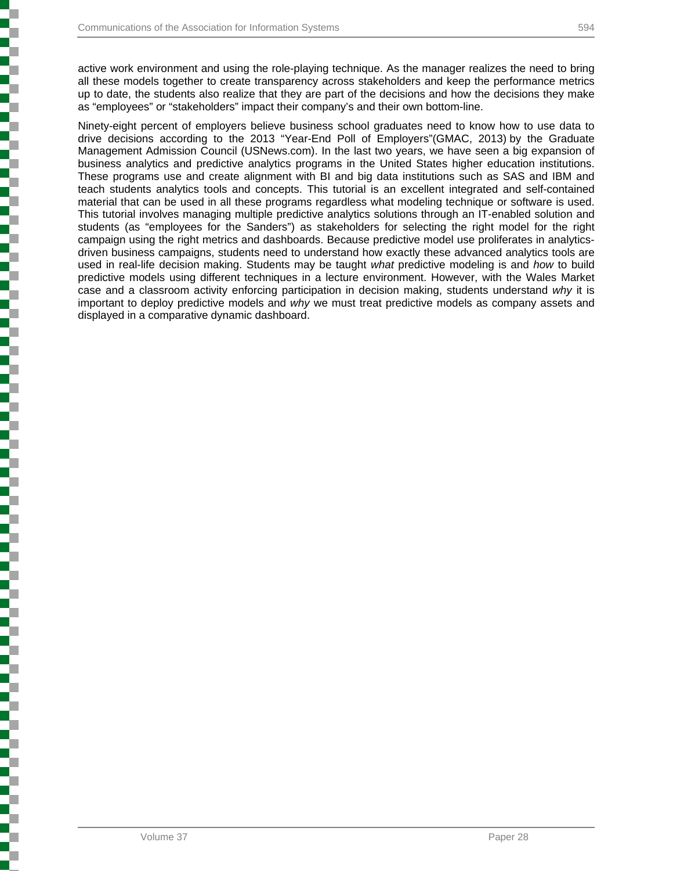active work environment and using the role-playing technique. As the manager realizes the need to bring all these models together to create transparency across stakeholders and keep the performance metrics up to date, the students also realize that they are part of the decisions and how the decisions they make as "employees" or "stakeholders" impact their company's and their own bottom-line.

Ninety-eight percent of employers believe business school graduates need to know how to use data to drive decisions according to the 2013 "Year-End Poll of Employers"(GMAC, 2013) by the Graduate Management Admission Council (USNews.com). In the last two years, we have seen a big expansion of business analytics and predictive analytics programs in the United States higher education institutions. These programs use and create alignment with BI and big data institutions such as SAS and IBM and teach students analytics tools and concepts. This tutorial is an excellent integrated and self-contained material that can be used in all these programs regardless what modeling technique or software is used. This tutorial involves managing multiple predictive analytics solutions through an IT-enabled solution and students (as "employees for the Sanders") as stakeholders for selecting the right model for the right campaign using the right metrics and dashboards. Because predictive model use proliferates in analyticsdriven business campaigns, students need to understand how exactly these advanced analytics tools are used in real-life decision making. Students may be taught *what* predictive modeling is and *how* to build predictive models using different techniques in a lecture environment. However, with the Wales Market case and a classroom activity enforcing participation in decision making, students understand *why* it is important to deploy predictive models and *why* we must treat predictive models as company assets and displayed in a comparative dynamic dashboard.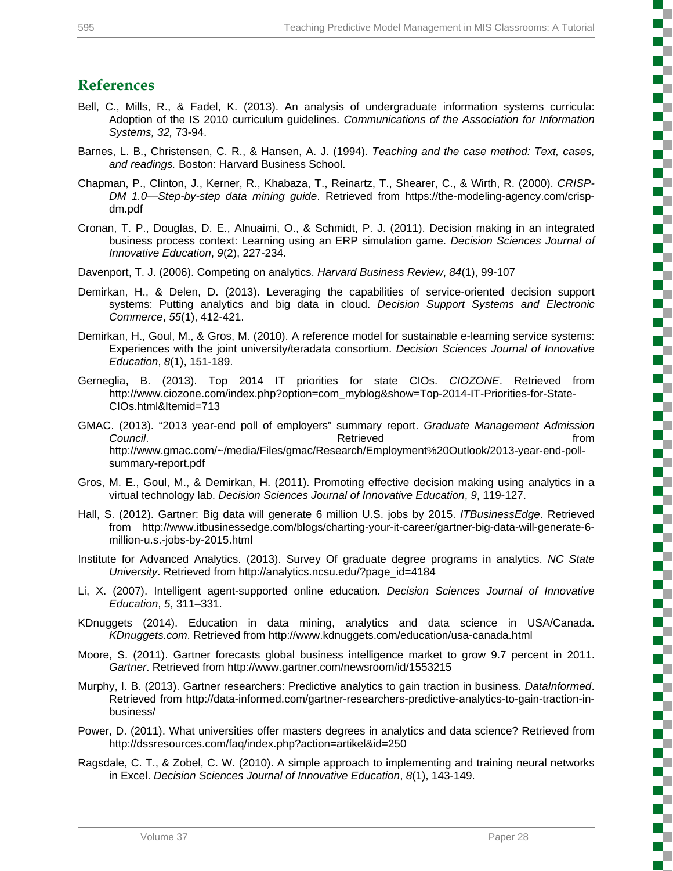i

F

Ş

Г ▛

į

l

į

i

### **References**

- Bell, C., Mills, R., & Fadel, K. (2013). An analysis of undergraduate information systems curricula: Adoption of the IS 2010 curriculum guidelines. *Communications of the Association for Information Systems, 32,* 73-94.
- Barnes, L. B., Christensen, C. R., & Hansen, A. J. (1994). *Teaching and the case method: Text, cases, and readings.* Boston: Harvard Business School.
- Chapman, P., Clinton, J., Kerner, R., Khabaza, T., Reinartz, T., Shearer, C., & Wirth, R. (2000). *CRISP-DM 1.0—Step-by-step data mining guide*. Retrieved from https://the-modeling-agency.com/crispdm.pdf
- Cronan, T. P., Douglas, D. E., Alnuaimi, O., & Schmidt, P. J. (2011). Decision making in an integrated business process context: Learning using an ERP simulation game. *Decision Sciences Journal of Innovative Education*, *9*(2), 227-234.
- Davenport, T. J. (2006). Competing on analytics. *Harvard Business Review*, *84*(1), 99-107
- Demirkan, H., & Delen, D. (2013). Leveraging the capabilities of service-oriented decision support systems: Putting analytics and big data in cloud. *Decision Support Systems and Electronic Commerce*, *55*(1), 412-421.
- Demirkan, H., Goul, M., & Gros, M. (2010). A reference model for sustainable e-learning service systems: Experiences with the joint university/teradata consortium. *Decision Sciences Journal of Innovative Education*, *8*(1), 151-189.
- Gerneglia, B. (2013). Top 2014 IT priorities for state CIOs. *CIOZONE*. Retrieved from http://www.ciozone.com/index.php?option=com\_myblog&show=Top-2014-IT-Priorities-for-State-CIOs.html&Itemid=713
- GMAC. (2013). "2013 year-end poll of employers" summary report. *Graduate Management Admission Council.* **Council** *Council Council Council Council Council Council Council Council COUNCIL COUNCIL COUNCIL COUNCIL COUNCIL COUNCIL COUNCIL COUNCIL COUNC* http://www.gmac.com/~/media/Files/gmac/Research/Employment%20Outlook/2013-year-end-pollsummary-report.pdf
- Gros, M. E., Goul, M., & Demirkan, H. (2011). Promoting effective decision making using analytics in a virtual technology lab. *Decision Sciences Journal of Innovative Education*, *9*, 119-127.
- Hall, S. (2012). Gartner: Big data will generate 6 million U.S. jobs by 2015. *ITBusinessEdge*. Retrieved from http://www.itbusinessedge.com/blogs/charting-your-it-career/gartner-big-data-will-generate-6 million-u.s.-jobs-by-2015.html
- Institute for Advanced Analytics. (2013). Survey Of graduate degree programs in analytics. *NC State University*. Retrieved from http://analytics.ncsu.edu/?page\_id=4184
- Li, X. (2007). Intelligent agent-supported online education. *Decision Sciences Journal of Innovative Education*, *5*, 311–331.
- KDnuggets (2014). Education in data mining, analytics and data science in USA/Canada. *KDnuggets.com*. Retrieved from http://www.kdnuggets.com/education/usa-canada.html
- Moore, S. (2011). Gartner forecasts global business intelligence market to grow 9.7 percent in 2011. *Gartner*. Retrieved from http://www.gartner.com/newsroom/id/1553215
- Murphy, I. B. (2013). Gartner researchers: Predictive analytics to gain traction in business. *DataInformed*. Retrieved from http://data-informed.com/gartner-researchers-predictive-analytics-to-gain-traction-inbusiness/
- Power, D. (2011). What universities offer masters degrees in analytics and data science? Retrieved from http://dssresources.com/faq/index.php?action=artikel&id=250
- Ragsdale, C. T., & Zobel, C. W. (2010). A simple approach to implementing and training neural networks in Excel. *Decision Sciences Journal of Innovative Education*, *8*(1), 143-149.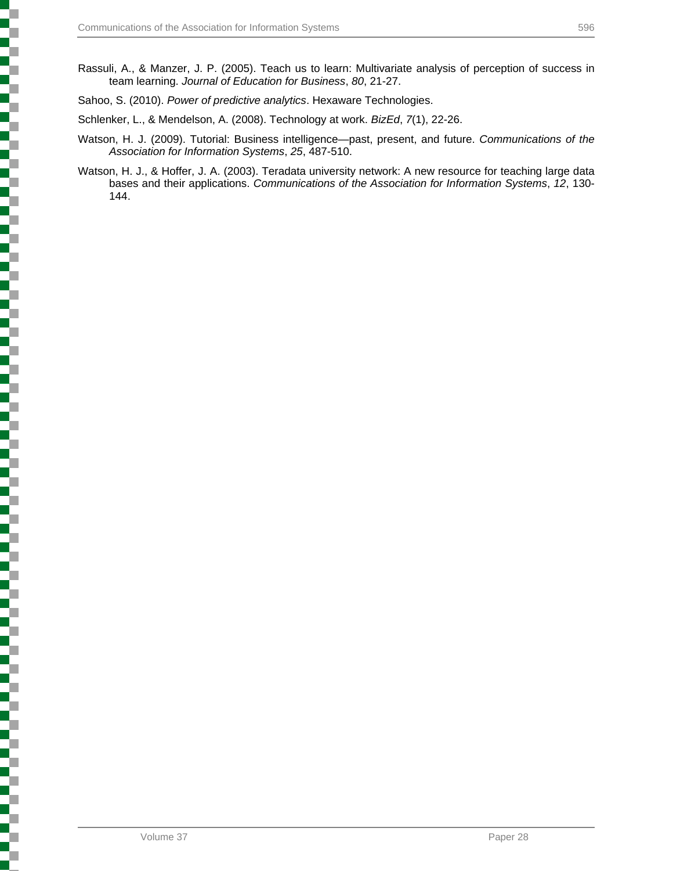į

į

į

₿

ş

į

5

į

Ę

₿

Ī

- Rassuli, A., & Manzer, J. P. (2005). Teach us to learn: Multivariate analysis of perception of success in team learning. *Journal of Education for Business*, *80*, 21-27.
- Sahoo, S. (2010). *Power of predictive analytics*. Hexaware Technologies.

Schlenker, L., & Mendelson, A. (2008). Technology at work. *BizEd*, *7*(1), 22-26.

- Watson, H. J. (2009). Tutorial: Business intelligence—past, present, and future. *Communications of the Association for Information Systems*, *25*, 487-510.
- Watson, H. J., & Hoffer, J. A. (2003). Teradata university network: A new resource for teaching large data bases and their applications. *Communications of the Association for Information Systems*, *12*, 130- 144.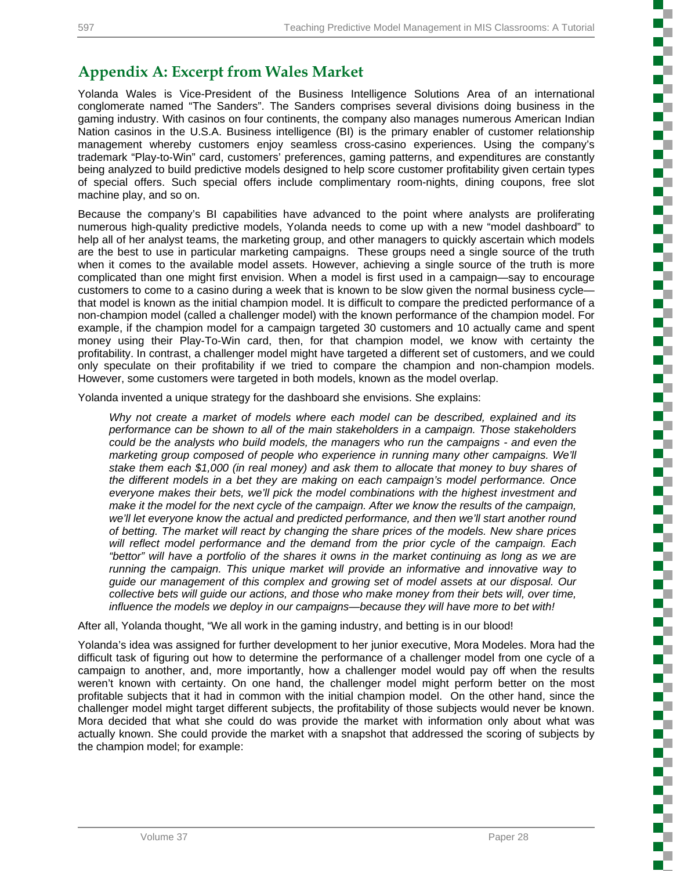П.

ā

Ŧ T.

Š

# **Appendix A: Excerpt from Wales Market**

Yolanda Wales is Vice-President of the Business Intelligence Solutions Area of an international conglomerate named "The Sanders". The Sanders comprises several divisions doing business in the gaming industry. With casinos on four continents, the company also manages numerous American Indian Nation casinos in the U.S.A. Business intelligence (BI) is the primary enabler of customer relationship management whereby customers enjoy seamless cross-casino experiences. Using the company's trademark "Play-to-Win" card, customers' preferences, gaming patterns, and expenditures are constantly being analyzed to build predictive models designed to help score customer profitability given certain types of special offers. Such special offers include complimentary room-nights, dining coupons, free slot machine play, and so on.

Because the company's BI capabilities have advanced to the point where analysts are proliferating numerous high-quality predictive models, Yolanda needs to come up with a new "model dashboard" to help all of her analyst teams, the marketing group, and other managers to quickly ascertain which models are the best to use in particular marketing campaigns. These groups need a single source of the truth when it comes to the available model assets. However, achieving a single source of the truth is more complicated than one might first envision. When a model is first used in a campaign—say to encourage customers to come to a casino during a week that is known to be slow given the normal business cycle that model is known as the initial champion model. It is difficult to compare the predicted performance of a non-champion model (called a challenger model) with the known performance of the champion model. For example, if the champion model for a campaign targeted 30 customers and 10 actually came and spent money using their Play-To-Win card, then, for that champion model, we know with certainty the profitability. In contrast, a challenger model might have targeted a different set of customers, and we could only speculate on their profitability if we tried to compare the champion and non-champion models. However, some customers were targeted in both models, known as the model overlap.

Yolanda invented a unique strategy for the dashboard she envisions. She explains:

*Why not create a market of models where each model can be described, explained and its performance can be shown to all of the main stakeholders in a campaign. Those stakeholders could be the analysts who build models, the managers who run the campaigns - and even the marketing group composed of people who experience in running many other campaigns. We'll stake them each \$1,000 (in real money) and ask them to allocate that money to buy shares of the different models in a bet they are making on each campaign's model performance. Once everyone makes their bets, we'll pick the model combinations with the highest investment and make it the model for the next cycle of the campaign. After we know the results of the campaign,*  we'll let everyone know the actual and predicted performance, and then we'll start another round *of betting. The market will react by changing the share prices of the models. New share prices will reflect model performance and the demand from the prior cycle of the campaign. Each "bettor" will have a portfolio of the shares it owns in the market continuing as long as we are running the campaign. This unique market will provide an informative and innovative way to guide our management of this complex and growing set of model assets at our disposal. Our collective bets will guide our actions, and those who make money from their bets will, over time, influence the models we deploy in our campaigns—because they will have more to bet with!* 

After all, Yolanda thought, "We all work in the gaming industry, and betting is in our blood!

Yolanda's idea was assigned for further development to her junior executive, Mora Modeles. Mora had the difficult task of figuring out how to determine the performance of a challenger model from one cycle of a campaign to another, and, more importantly, how a challenger model would pay off when the results weren't known with certainty. On one hand, the challenger model might perform better on the most profitable subjects that it had in common with the initial champion model. On the other hand, since the challenger model might target different subjects, the profitability of those subjects would never be known. Mora decided that what she could do was provide the market with information only about what was actually known. She could provide the market with a snapshot that addressed the scoring of subjects by the champion model; for example: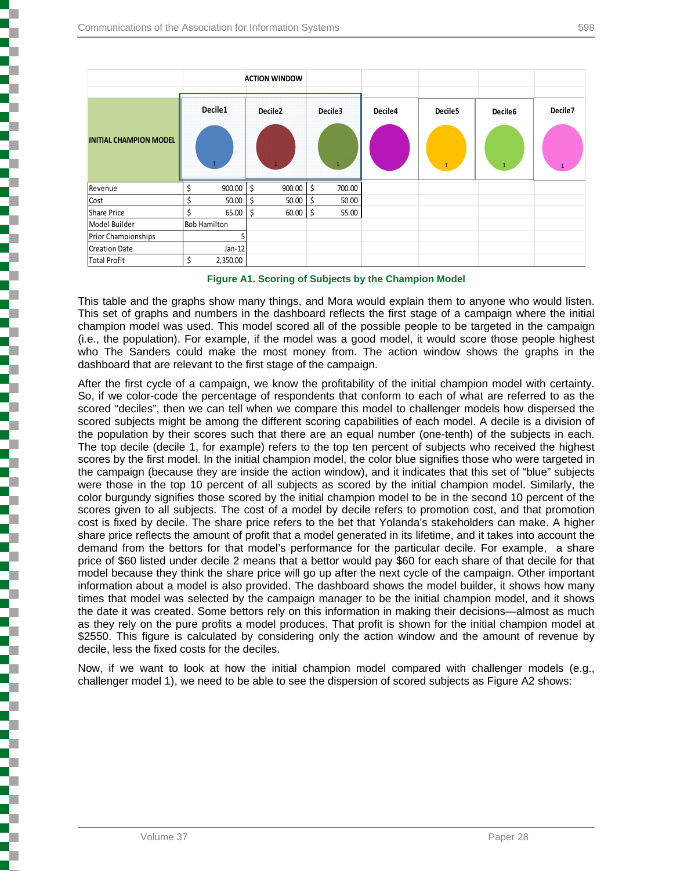|                               |                         | <b>ACTION WINDOW</b>                  |                              |         |                         |                  |                         |
|-------------------------------|-------------------------|---------------------------------------|------------------------------|---------|-------------------------|------------------|-------------------------|
| <b>INITIAL CHAMPION MODEL</b> | Decile1<br>$\mathbf{1}$ | Decile <sub>2</sub><br>$\overline{1}$ | Decile3<br><b>The Second</b> | Decile4 | Decile5<br>$\mathbf{1}$ | Decile6<br>$1\,$ | Decile7<br>$\mathbf{1}$ |
| Revenue                       | Ś<br>900.00             | \$<br>900.00                          | Ś<br>700.00                  |         |                         |                  |                         |
| Cost                          | 50.00<br>Ś              | \$<br>50.00                           | 50.00                        |         |                         |                  |                         |
| <b>Share Price</b>            | 65.00<br>Ś              | $\sqrt{5}$<br>60.00                   | 55.00<br>ا \$                |         |                         |                  |                         |
| Model Builder                 | <b>Bob Hamilton</b>     |                                       |                              |         |                         |                  |                         |
| Prior Championships           |                         |                                       |                              |         |                         |                  |                         |
| <b>Creation Date</b>          | Jan-12                  |                                       |                              |         |                         |                  |                         |
| <b>Total Profit</b>           | Ś.<br>2,350.00          |                                       |                              |         |                         |                  |                         |

**Figure A1. Scoring of Subjects by the Champion Model**

This table and the graphs show many things, and Mora would explain them to anyone who would listen. This set of graphs and numbers in the dashboard reflects the first stage of a campaign where the initial champion model was used. This model scored all of the possible people to be targeted in the campaign (i.e., the population). For example, if the model was a good model, it would score those people highest who The Sanders could make the most money from. The action window shows the graphs in the dashboard that are relevant to the first stage of the campaign.

After the first cycle of a campaign, we know the profitability of the initial champion model with certainty. So, if we color-code the percentage of respondents that conform to each of what are referred to as the scored "deciles", then we can tell when we compare this model to challenger models how dispersed the scored subjects might be among the different scoring capabilities of each model. A decile is a division of the population by their scores such that there are an equal number (one-tenth) of the subjects in each. The top decile (decile 1, for example) refers to the top ten percent of subjects who received the highest scores by the first model. In the initial champion model, the color blue signifies those who were targeted in the campaign (because they are inside the action window), and it indicates that this set of "blue" subjects were those in the top 10 percent of all subjects as scored by the initial champion model. Similarly, the color burgundy signifies those scored by the initial champion model to be in the second 10 percent of the scores given to all subjects. The cost of a model by decile refers to promotion cost, and that promotion cost is fixed by decile. The share price refers to the bet that Yolanda's stakeholders can make. A higher share price reflects the amount of profit that a model generated in its lifetime, and it takes into account the demand from the bettors for that model's performance for the particular decile. For example, a share price of \$60 listed under decile 2 means that a bettor would pay \$60 for each share of that decile for that model because they think the share price will go up after the next cycle of the campaign. Other important information about a model is also provided. The dashboard shows the model builder, it shows how many times that model was selected by the campaign manager to be the initial champion model, and it shows the date it was created. Some bettors rely on this information in making their decisions—almost as much as they rely on the pure profits a model produces. That profit is shown for the initial champion model at \$2550. This figure is calculated by considering only the action window and the amount of revenue by decile, less the fixed costs for the deciles.

Now, if we want to look at how the initial champion model compared with challenger models (e.g., challenger model 1), we need to be able to see the dispersion of scored subjects as Figure A2 shows: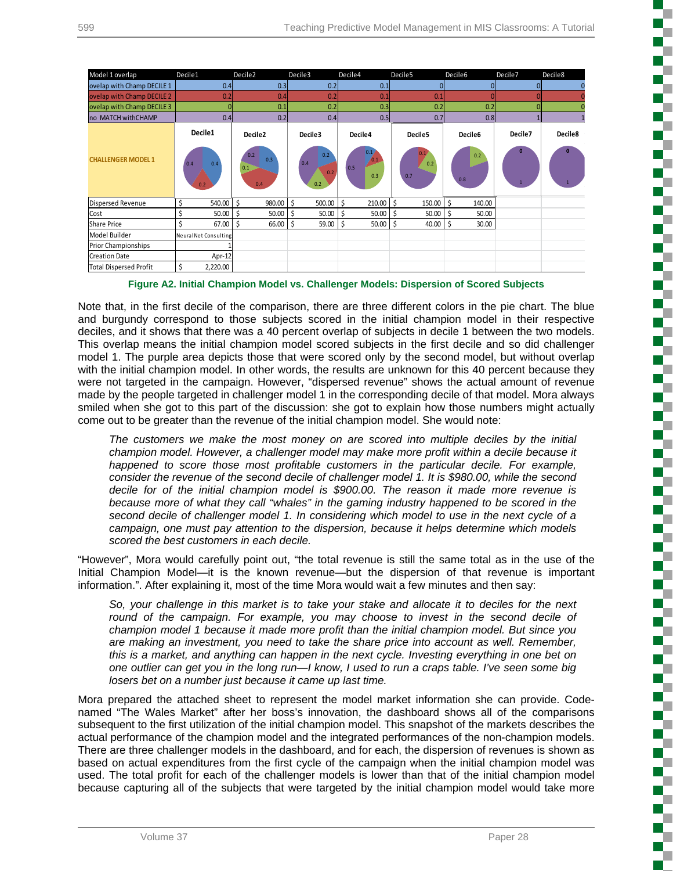

**Figure A2. Initial Champion Model vs. Challenger Models: Dispersion of Scored Subjects**

Note that, in the first decile of the comparison, there are three different colors in the pie chart. The blue and burgundy correspond to those subjects scored in the initial champion model in their respective deciles, and it shows that there was a 40 percent overlap of subjects in decile 1 between the two models. This overlap means the initial champion model scored subjects in the first decile and so did challenger model 1. The purple area depicts those that were scored only by the second model, but without overlap with the initial champion model. In other words, the results are unknown for this 40 percent because they were not targeted in the campaign. However, "dispersed revenue" shows the actual amount of revenue made by the people targeted in challenger model 1 in the corresponding decile of that model. Mora always smiled when she got to this part of the discussion: she got to explain how those numbers might actually come out to be greater than the revenue of the initial champion model. She would note:

*The customers we make the most money on are scored into multiple deciles by the initial champion model. However, a challenger model may make more profit within a decile because it*  happened to score those most profitable customers in the particular decile. For example, *consider the revenue of the second decile of challenger model 1. It is \$980.00, while the second decile for of the initial champion model is \$900.00. The reason it made more revenue is because more of what they call "whales" in the gaming industry happened to be scored in the second decile of challenger model 1. In considering which model to use in the next cycle of a campaign, one must pay attention to the dispersion, because it helps determine which models scored the best customers in each decile.* 

"However", Mora would carefully point out, "the total revenue is still the same total as in the use of the Initial Champion Model—it is the known revenue—but the dispersion of that revenue is important information.". After explaining it, most of the time Mora would wait a few minutes and then say:

*So, your challenge in this market is to take your stake and allocate it to deciles for the next*  round of the campaign. For example, you may choose to invest in the second decile of *champion model 1 because it made more profit than the initial champion model. But since you are making an investment, you need to take the share price into account as well. Remember, this is a market, and anything can happen in the next cycle. Investing everything in one bet on one outlier can get you in the long run—I know, I used to run a craps table. I've seen some big losers bet on a number just because it came up last time.* 

Mora prepared the attached sheet to represent the model market information she can provide. Codenamed "The Wales Market" after her boss's innovation, the dashboard shows all of the comparisons subsequent to the first utilization of the initial champion model. This snapshot of the markets describes the actual performance of the champion model and the integrated performances of the non-champion models. There are three challenger models in the dashboard, and for each, the dispersion of revenues is shown as based on actual expenditures from the first cycle of the campaign when the initial champion model was used. The total profit for each of the challenger models is lower than that of the initial champion model because capturing all of the subjects that were targeted by the initial champion model would take more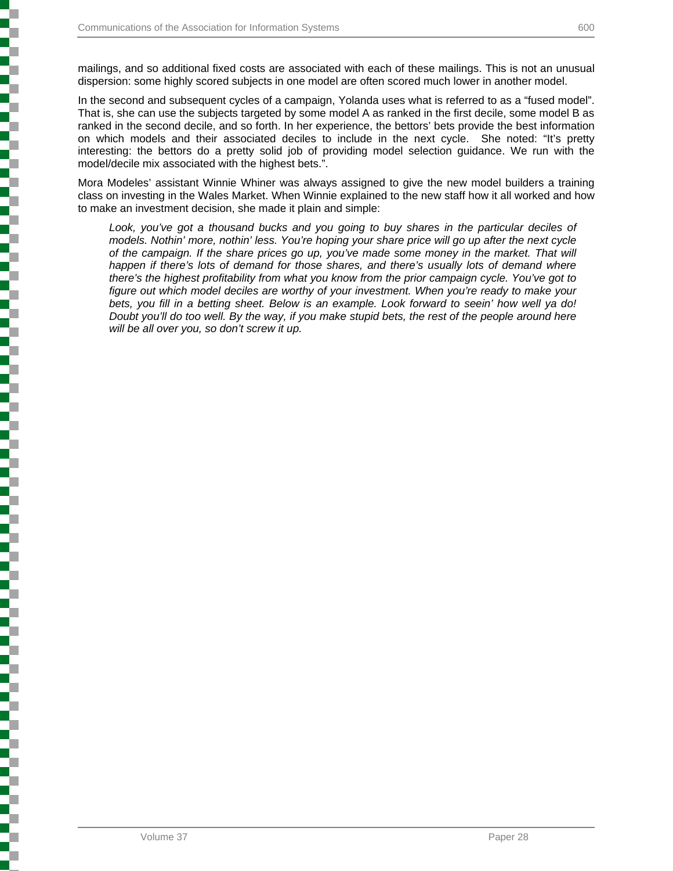j

٦

mailings, and so additional fixed costs are associated with each of these mailings. This is not an unusual dispersion: some highly scored subjects in one model are often scored much lower in another model.

In the second and subsequent cycles of a campaign, Yolanda uses what is referred to as a "fused model". That is, she can use the subjects targeted by some model A as ranked in the first decile, some model B as ranked in the second decile, and so forth. In her experience, the bettors' bets provide the best information on which models and their associated deciles to include in the next cycle. She noted: "It's pretty interesting: the bettors do a pretty solid job of providing model selection guidance. We run with the model/decile mix associated with the highest bets.".

Mora Modeles' assistant Winnie Whiner was always assigned to give the new model builders a training class on investing in the Wales Market. When Winnie explained to the new staff how it all worked and how to make an investment decision, she made it plain and simple:

Look, you've got a thousand bucks and you going to buy shares in the particular deciles of *models. Nothin' more, nothin' less. You're hoping your share price will go up after the next cycle*  of the campaign. If the share prices go up, you've made some money in the market. That will *happen if there's lots of demand for those shares, and there's usually lots of demand where there's the highest profitability from what you know from the prior campaign cycle. You've got to figure out which model deciles are worthy of your investment. When you're ready to make your bets, you fill in a betting sheet. Below is an example. Look forward to seein' how well ya do! Doubt you'll do too well. By the way, if you make stupid bets, the rest of the people around here will be all over you, so don't screw it up.*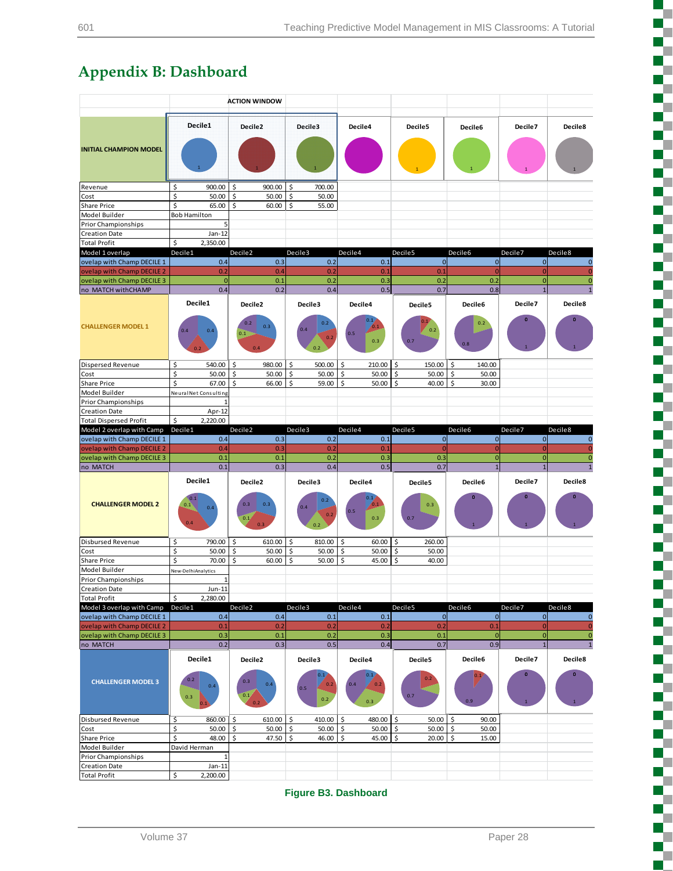**A** H. T г

> C H.

**The Co** Œ

 $\Box \Box$ H. n – G  $\mathbb{R}^2$ Œ .

г с  $\Box$ Г a pro г Œ a pro T.

Г r Œ 11 **The Second Second** g L  $\mathbb{R}^n$ H г

C

L **Tale** 

T.

г

T a i H

# **Appendix B: Dashboard**

|                               |                                    | <b>ACTION WINDOW</b>                     |                          |                                           |                     |                           |                         |                         |
|-------------------------------|------------------------------------|------------------------------------------|--------------------------|-------------------------------------------|---------------------|---------------------------|-------------------------|-------------------------|
| <b>INITIAL CHAMPION MODEL</b> | Decile1                            | Decile <sub>2</sub>                      | Decile3                  | Decile4                                   | Decile5             | Decile6                   | Decile7                 | Decile8                 |
| Revenue                       | \$<br>900.00                       | 900.00<br>\$                             | 700.00<br>\$             |                                           |                     |                           |                         |                         |
| Cost                          | \$<br>50.00                        | \$<br>50.00                              | \$<br>50.00              |                                           |                     |                           |                         |                         |
| Share Price                   | \$<br>65.00                        | \$<br>60.00                              | \$<br>55.00              |                                           |                     |                           |                         |                         |
| Model Builder                 | <b>Bob Hamilton</b>                |                                          |                          |                                           |                     |                           |                         |                         |
| Prior Championships           | 5                                  |                                          |                          |                                           |                     |                           |                         |                         |
| <b>Creation Date</b>          | $Jan-12$                           |                                          |                          |                                           |                     |                           |                         |                         |
| <b>Total Profit</b>           | \$<br>2,350.00                     |                                          |                          |                                           |                     |                           |                         |                         |
| Model 1 overlap               | Decile1                            | Decile <sub>2</sub>                      | Decile3                  | Decile4                                   | Decile <sub>5</sub> | Decile <sub>6</sub>       | Decile7                 | Decile8                 |
| ovelap with Champ DECILE 1    | 0.4                                | 0.3                                      | 0.2                      | 0.1                                       | $\mathbf{0}$        | $\bf{0}$                  | $\bf{0}$                | $\bf{0}$                |
| ovelap with Champ DECILE 2    | 0.2                                | 0.4                                      | 0.2                      | 0.1                                       | 0.1                 | $\overline{0}$            | $\overline{0}$          | $\mathbf 0$             |
| ovelap with Champ DECILE 3    | $\overline{0}$                     | 0.1                                      | 0.2                      | 0.3                                       | 0.2                 | 0.2                       | $\mathbf 0$             | $\bf{0}$                |
| no MATCH withCHAMP            | 0.4                                | 0.2                                      | 0.4                      | 0.5                                       | 0.7                 | 0.8                       | $\mathbf{1}$            | $\mathbf{1}$            |
| <b>CHALLENGER MODEL 1</b>     | Decile1                            | Decile <sub>2</sub><br>0.2<br>0.3<br>0.1 | Decile3<br>0.2<br>0.4    | Decile4<br>0.1/<br>$\sqrt{0.1}$<br>0.5    | Decile5<br>0.2      | Decile6<br>0.2            | Decile7                 | Decile8                 |
|                               |                                    | 0.4                                      | 0.2<br>0.2               | 0.3                                       | 0.7                 | 0.8                       |                         |                         |
| Dispersed Revenue             | \$<br>540.00                       | \$<br>980.00                             | \$<br>500.00             | \$<br>210.00                              | \$<br>150.00        | \$<br>140.00              |                         |                         |
| Cost                          | \$<br>50.00                        | \$<br>50.00                              | \$<br>50.00              | \$<br>50.00                               | \$<br>50.00         | \$<br>50.00               |                         |                         |
| Share Price                   | \$<br>67.00                        | \$<br>66.00                              | \$<br>59.00              | \$<br>50.00                               | \$<br>40.00         | \$<br>30.00               |                         |                         |
| Model Builder                 | NeuralNet Consulting               |                                          |                          |                                           |                     |                           |                         |                         |
| Prior Championships           |                                    |                                          |                          |                                           |                     |                           |                         |                         |
| <b>Creation Date</b>          | Apr-12                             |                                          |                          |                                           |                     |                           |                         |                         |
| <b>Total Dispersed Profit</b> | \$<br>2,220.00                     |                                          |                          |                                           |                     |                           |                         |                         |
| Model 2 overlap with Camp     | Decile1                            | Decile <sub>2</sub>                      | Decile3                  | Decile4                                   | Decile5             | Decile6                   | Decile7                 | Decile <sub>8</sub>     |
|                               |                                    |                                          |                          |                                           |                     |                           |                         |                         |
| ovelap with Champ DECILE 1    | 0.4                                | 0.3                                      | 0.2                      | 0.1                                       | $\mathbf 0$         | $\mathbf 0$               | $\mathbf{0}$            | $\mathbf 0$             |
| ovelap with Champ DECILE 2    | 0.4                                | 0.3                                      | 0.2                      | 0.1                                       | $\overline{0}$      | $\bf{0}$                  | $\mathbf{0}$            | $\mathbf 0$             |
| ovelap with Champ DECILE 3    | 0.1                                | 0.1                                      | 0.2                      | 0.3                                       | 0.3                 | $\bf 0$                   | $\pmb{0}$               | $\bf{0}$                |
| no MATCH                      | 0.1<br>Decile1                     | 0.3<br>Decile <sub>2</sub>               | 0.4<br>Decile3           | 0.5<br>Decile4                            | 0.7<br>Decile5      | $\overline{1}$<br>Decile6 | $\mathbf{1}$<br>Decile7 | $\mathbf{1}$<br>Decile8 |
| <b>CHALLENGER MODEL 2</b>     | 0.1<br>$0.1\sqrt{ }$<br>0.4<br>0.4 | 0.3<br>0.3<br>0.1<br>0.3                 | 0.2<br>0.4<br>0.2<br>0.2 | 0.1/<br>$\bigtriangleup$ .1<br>0.5<br>0.3 | 0.3<br>0.7          |                           |                         |                         |
| <b>Disbursed Revenue</b>      | \$<br>790.00                       | \$<br>610.00                             | \$<br>810.00             | \$<br>60.00                               | \$<br>260.00        |                           |                         |                         |
| Cost                          | \$<br>50.00                        | \$<br>50.00                              | \$<br>50.00              | \$<br>50.00                               | \$<br>50.00         |                           |                         |                         |
| <b>Share Price</b>            | Ś<br>70.00                         | \$<br>60.00                              | \$<br>50.00              | \$<br>45.00                               | \$<br>40.00         |                           |                         |                         |
| Model Builder                 | New-DelhiAnalytics                 |                                          |                          |                                           |                     |                           |                         |                         |
| Prior Championships           | $\overline{1}$                     |                                          |                          |                                           |                     |                           |                         |                         |
| <b>Creation Date</b>          | $Jun-11$                           |                                          |                          |                                           |                     |                           |                         |                         |
| <b>Total Profit</b>           | \$<br>2,280.00                     |                                          |                          |                                           |                     |                           |                         |                         |
| Model 3 overlap with Camp     | Decile1                            | Decile <sub>2</sub>                      | Decile3                  | Decile4                                   | Decile5             | Decile6                   | Decile7                 | Decile <sub>8</sub>     |
| ovelap with Champ DECILE 1    | 0.4                                | 0.4                                      | 0.1                      | 0.1                                       | $\overline{0}$      | 0                         | 0                       | $\pmb{0}$               |
| ovelap with Champ DECILE 2    | 0.1                                | 0.2                                      | 0.2                      | 0.2                                       | 0.2                 | 0.1                       | $\overline{0}$          | $\bf{0}$                |
| ovelap with Champ DECILE 3    | 0.3                                | 0.1                                      | 0.2                      | 0.3                                       | 0.1                 | $\mathbf 0$               | $\mathbf 0$             | $\bf{0}$                |
| no MATCH                      | 0.2<br>Decile1                     | 0.3<br>Decile <sub>2</sub>               | 0.5<br>Decile3           | 0.4<br>Decile4                            | 0.7<br>Decile5      | 0.9<br>Decile6            | $\mathbf{1}$<br>Decile7 | $\mathbf{1}$<br>Decile8 |
| <b>CHALLENGER MODEL 3</b>     | 0.2<br>0.4<br>0.3                  | 0.3<br>0.4<br>0.1<br>0.2                 | 0.1<br>0.2<br>0.5<br>0.2 | 0.1,<br>0.4<br>0.2<br>0.3                 | 0.7                 | 0.1<br>0.9                |                         |                         |
| Disbursed Revenue             | 860.00<br>\$                       | 610.00<br>-\$                            | 410.00                   | \$<br>480.00                              | \$<br>50.00         | \$<br>90.00               |                         |                         |
| Cost                          | \$<br>50.00                        | \$<br>50.00                              | \$<br>\$<br>50.00        | \$<br>50.00                               | \$<br>50.00         | \$<br>50.00               |                         |                         |
| Share Price                   | \$<br>48.00                        | \$<br>47.50                              | \$<br>46.00              | \$<br>45.00                               | \$<br>20.00         | \$<br>15.00               |                         |                         |
| Model Builder                 | David Herman                       |                                          |                          |                                           |                     |                           |                         |                         |
| Prior Championships           | 1                                  |                                          |                          |                                           |                     |                           |                         |                         |
| <b>Creation Date</b>          | $Jan-11$                           |                                          |                          |                                           |                     |                           |                         |                         |

**Figure B3. Dashboard**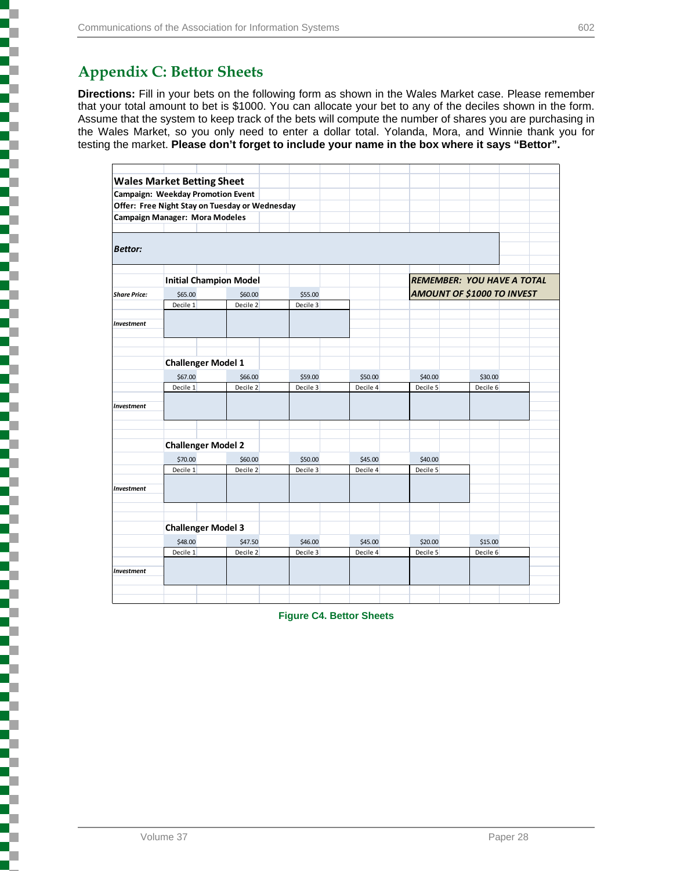## **Appendix C: Bettor Sheets**

ŝ

 $\overline{\phantom{a}}$ 

**Directions:** Fill in your bets on the following form as shown in the Wales Market case. Please remember that your total amount to bet is \$1000. You can allocate your bet to any of the deciles shown in the form. Assume that the system to keep track of the bets will compute the number of shares you are purchasing in the Wales Market, so you only need to enter a dollar total. Yolanda, Mora, and Winnie thank you for testing the market. **Please don't forget to include your name in the box where it says "Bettor".** 

|                     | <b>Wales Market Betting Sheet</b>     |                                                |          |          |          |                                   |  |
|---------------------|---------------------------------------|------------------------------------------------|----------|----------|----------|-----------------------------------|--|
|                     | Campaign: Weekday Promotion Event     |                                                |          |          |          |                                   |  |
|                     |                                       | Offer: Free Night Stay on Tuesday or Wednesday |          |          |          |                                   |  |
|                     | <b>Campaign Manager: Mora Modeles</b> |                                                |          |          |          |                                   |  |
|                     |                                       |                                                |          |          |          |                                   |  |
|                     |                                       |                                                |          |          |          |                                   |  |
| <b>Bettor:</b>      |                                       |                                                |          |          |          |                                   |  |
|                     |                                       |                                                |          |          |          |                                   |  |
|                     |                                       |                                                |          |          |          |                                   |  |
|                     | <b>Initial Champion Model</b>         |                                                |          |          |          | <b>REMEMBER: YOU HAVE A TOTAL</b> |  |
| <b>Share Price:</b> | \$65.00                               | \$60.00                                        | \$55.00  |          |          | <b>AMOUNT OF \$1000 TO INVEST</b> |  |
|                     | Decile 1                              | Decile 2                                       | Decile 3 |          |          |                                   |  |
|                     |                                       |                                                |          |          |          |                                   |  |
| <b>Investment</b>   |                                       |                                                |          |          |          |                                   |  |
|                     |                                       |                                                |          |          |          |                                   |  |
|                     |                                       |                                                |          |          |          |                                   |  |
|                     | <b>Challenger Model 1</b>             |                                                |          |          |          |                                   |  |
|                     |                                       |                                                |          |          |          |                                   |  |
|                     | \$67.00                               | \$66.00                                        | \$59.00  | \$50.00  | \$40.00  | \$30.00                           |  |
|                     | Decile 1                              | Decile 2                                       | Decile 3 | Decile 4 | Decile 5 | Decile 6                          |  |
| <b>Investment</b>   |                                       |                                                |          |          |          |                                   |  |
|                     |                                       |                                                |          |          |          |                                   |  |
|                     |                                       |                                                |          |          |          |                                   |  |
|                     |                                       |                                                |          |          |          |                                   |  |
|                     | <b>Challenger Model 2</b>             |                                                |          |          |          |                                   |  |
|                     | \$70.00                               | \$60.00                                        | \$50.00  | \$45.00  | \$40.00  |                                   |  |
|                     | Decile 1                              | Decile 2                                       | Decile 3 | Decile 4 | Decile 5 |                                   |  |
|                     |                                       |                                                |          |          |          |                                   |  |
| <b>Investment</b>   |                                       |                                                |          |          |          |                                   |  |
|                     |                                       |                                                |          |          |          |                                   |  |
|                     |                                       |                                                |          |          |          |                                   |  |
|                     | <b>Challenger Model 3</b>             |                                                |          |          |          |                                   |  |
|                     | \$48.00                               | \$47.50                                        | \$46.00  | \$45.00  | \$20.00  | \$15.00                           |  |
|                     | Decile 1                              | Decile 2                                       | Decile 3 | Decile 4 | Decile 5 | Decile 6                          |  |
|                     |                                       |                                                |          |          |          |                                   |  |
|                     |                                       |                                                |          |          |          |                                   |  |
| <b>Investment</b>   |                                       |                                                |          |          |          |                                   |  |
|                     |                                       |                                                |          |          |          |                                   |  |

**Figure C4. Bettor Sheets**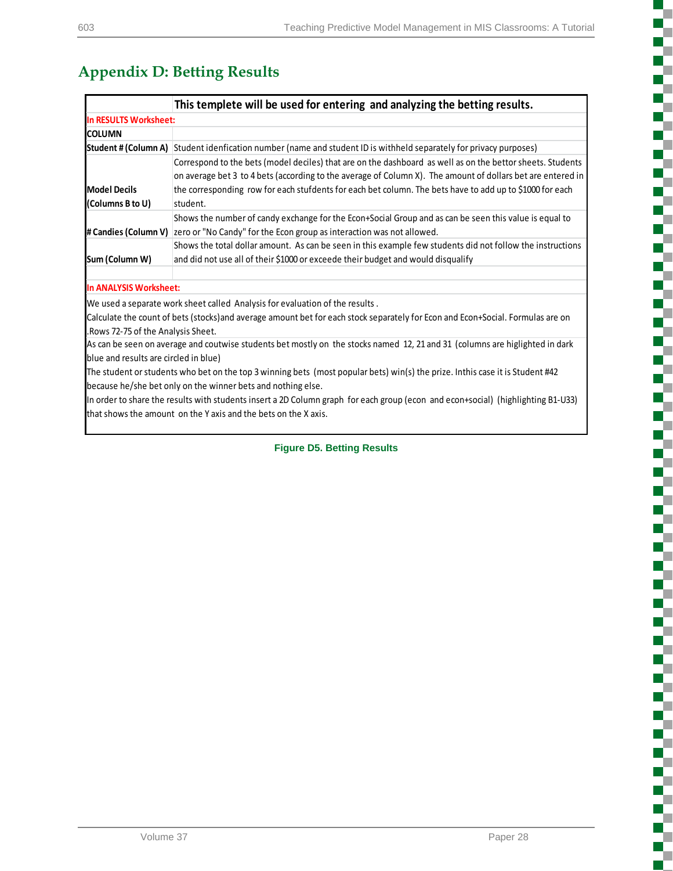# **Appendix D: Betting Results**

|                                       | This templete will be used for entering and analyzing the betting results.                                                       |
|---------------------------------------|----------------------------------------------------------------------------------------------------------------------------------|
| <b>In RESULTS Worksheet:</b>          |                                                                                                                                  |
| <b>COLUMN</b>                         |                                                                                                                                  |
| Student # (Column A)                  | Student idenfication number (name and student ID is withheld separately for privacy purposes)                                    |
|                                       | Correspond to the bets (model deciles) that are on the dashboard as well as on the bettor sheets. Students                       |
|                                       | on average bet 3 to 4 bets (according to the average of Column X). The amount of dollars bet are entered in                      |
| <b>Model Decils</b>                   | the corresponding row for each stufdents for each bet column. The bets have to add up to \$1000 for each                         |
| (Columns B to U)                      | student.                                                                                                                         |
|                                       | Shows the number of candy exchange for the Econ+Social Group and as can be seen this value is equal to                           |
|                                       | $\#$ Candies (Column V) $ $ zero or "No Candy" for the Econ group as interaction was not allowed.                                |
|                                       | Shows the total dollar amount. As can be seen in this example few students did not follow the instructions                       |
| Sum (Column W)                        | and did not use all of their \$1000 or exceede their budget and would disqualify                                                 |
|                                       |                                                                                                                                  |
| <b>In ANALYSIS Worksheet:</b>         |                                                                                                                                  |
|                                       | We used a separate work sheet called Analysis for evaluation of the results.                                                     |
|                                       | Calculate the count of bets (stocks)and average amount bet for each stock separately for Econ and Econ+Social. Formulas are on   |
| . Rows 72-75 of the Analysis Sheet.   |                                                                                                                                  |
|                                       | As can be seen on average and coutwise students bet mostly on the stocks named 12, 21 and 31 (columns are higlighted in dark     |
| blue and results are circled in blue) |                                                                                                                                  |
|                                       | The student or students who bet on the top 3 winning bets (most popular bets) win(s) the prize. Inthis case it is Student #42    |
|                                       | because he/she bet only on the winner bets and nothing else.                                                                     |
|                                       | In order to share the results with students insert a 2D Column graph for each group (econ and econ+social) (highlighting B1-U33) |
|                                       | that shows the amount on the Y axis and the bets on the X axis.                                                                  |
|                                       |                                                                                                                                  |

#### **Figure D5. Betting Results**

C **College**  $\mathbb{Z}^{\mathbb{Z}}$ T C

> c H. **The Co** С